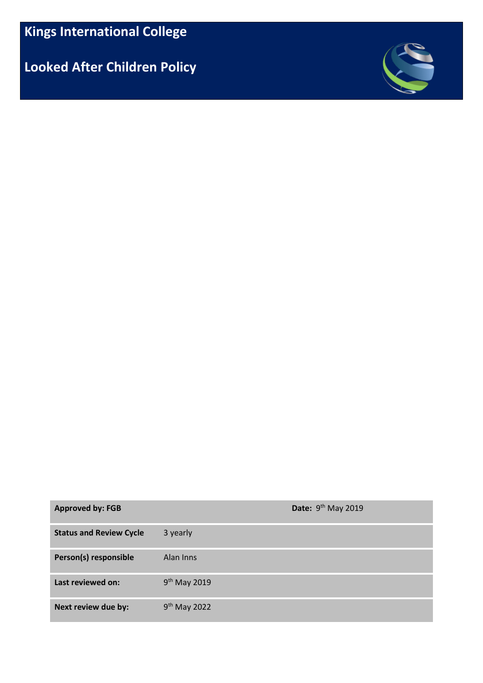**Looked After Children Policy**



| <b>Approved by: FGB</b>        |                          | Date: $9th$ May 2019 |
|--------------------------------|--------------------------|----------------------|
| <b>Status and Review Cycle</b> | 3 yearly                 |                      |
| Person(s) responsible          | Alan Inns                |                      |
| Last reviewed on:              | 9 <sup>th</sup> May 2019 |                      |
| Next review due by:            | $9th$ May 2022           |                      |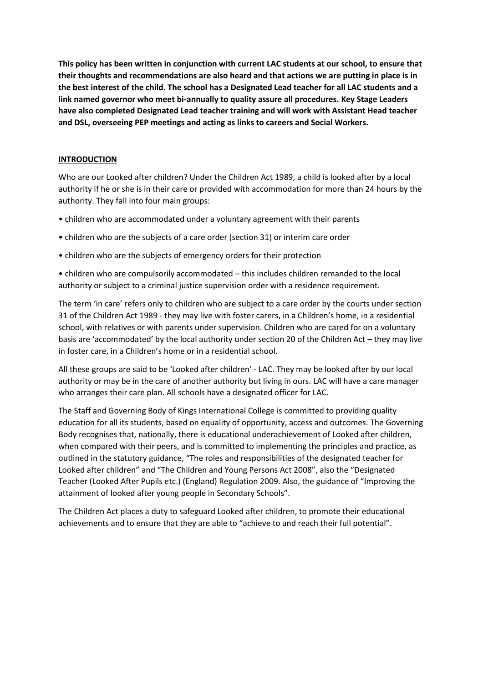**This policy has been written in conjunction with current LAC students at our school, to ensure that their thoughts and recommendations are also heard and that actions we are putting in place is in the best interest of the child. The school has a Designated Lead teacher for all LAC students and a link named governor who meet bi-annually to quality assure all procedures. Key Stage Leaders have also completed Designated Lead teacher training and will work with Assistant Head teacher and DSL, overseeing PEP meetings and acting as links to careers and Social Workers.**

### **INTRODUCTION**

Who are our Looked after children? Under the Children Act 1989, a child is looked after by a local authority if he or she is in their care or provided with accommodation for more than 24 hours by the authority. They fall into four main groups:

- children who are accommodated under a voluntary agreement with their parents
- children who are the subjects of a care order (section 31) or interim care order
- children who are the subjects of emergency orders for their protection

• children who are compulsorily accommodated – this includes children remanded to the local authority or subject to a criminal justice supervision order with a residence requirement.

The term 'in care' refers only to children who are subject to a care order by the courts under section 31 of the Children Act 1989 - they may live with foster carers, in a Children's home, in a residential school, with relatives or with parents under supervision. Children who are cared for on a voluntary basis are 'accommodated' by the local authority under section 20 of the Children Act – they may live in foster care, in a Children's home or in a residential school.

All these groups are said to be 'Looked after children' - LAC. They may be looked after by our local authority or may be in the care of another authority but living in ours. LAC will have a care manager who arranges their care plan. All schools have a designated officer for LAC.

The Staff and Governing Body of Kings International College is committed to providing quality education for all its students, based on equality of opportunity, access and outcomes. The Governing Body recognises that, nationally, there is educational underachievement of Looked after children, when compared with their peers, and is committed to implementing the principles and practice, as outlined in the statutory guidance, "The roles and responsibilities of the designated teacher for Looked after children" and "The Children and Young Persons Act 2008", also the "Designated Teacher (Looked After Pupils etc.) (England) Regulation 2009. Also, the guidance of "Improving the attainment of looked after young people in Secondary Schools".

The Children Act places a duty to safeguard Looked after children, to promote their educational achievements and to ensure that they are able to "achieve to and reach their full potential".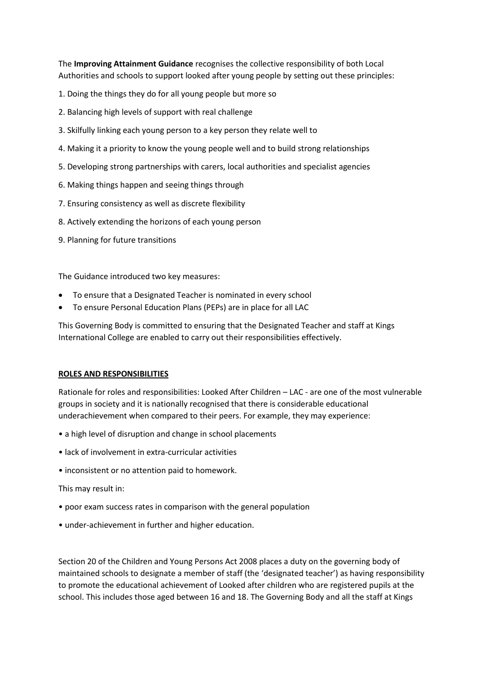The **Improving Attainment Guidance** recognises the collective responsibility of both Local Authorities and schools to support looked after young people by setting out these principles:

- 1. Doing the things they do for all young people but more so
- 2. Balancing high levels of support with real challenge
- 3. Skilfully linking each young person to a key person they relate well to
- 4. Making it a priority to know the young people well and to build strong relationships
- 5. Developing strong partnerships with carers, local authorities and specialist agencies
- 6. Making things happen and seeing things through
- 7. Ensuring consistency as well as discrete flexibility
- 8. Actively extending the horizons of each young person
- 9. Planning for future transitions

The Guidance introduced two key measures:

- To ensure that a Designated Teacher is nominated in every school
- To ensure Personal Education Plans (PEPs) are in place for all LAC

This Governing Body is committed to ensuring that the Designated Teacher and staff at Kings International College are enabled to carry out their responsibilities effectively.

#### **ROLES AND RESPONSIBILITIES**

Rationale for roles and responsibilities: Looked After Children – LAC - are one of the most vulnerable groups in society and it is nationally recognised that there is considerable educational underachievement when compared to their peers. For example, they may experience:

- a high level of disruption and change in school placements
- lack of involvement in extra-curricular activities
- inconsistent or no attention paid to homework.

This may result in:

- poor exam success rates in comparison with the general population
- under-achievement in further and higher education.

Section 20 of the Children and Young Persons Act 2008 places a duty on the governing body of maintained schools to designate a member of staff (the 'designated teacher') as having responsibility to promote the educational achievement of Looked after children who are registered pupils at the school. This includes those aged between 16 and 18. The Governing Body and all the staff at Kings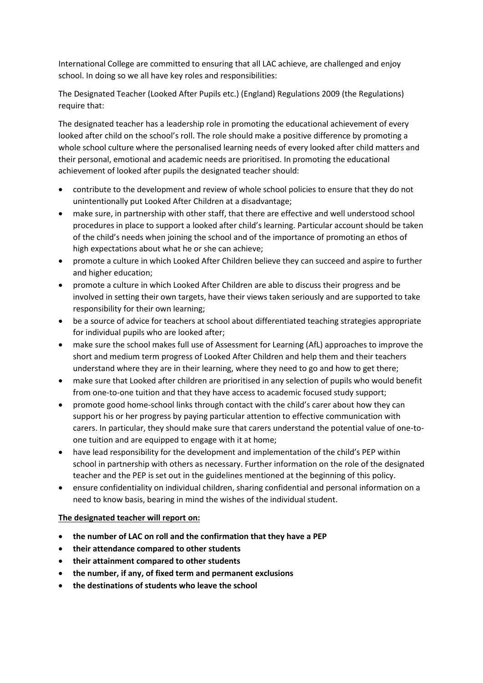International College are committed to ensuring that all LAC achieve, are challenged and enjoy school. In doing so we all have key roles and responsibilities:

The Designated Teacher (Looked After Pupils etc.) (England) Regulations 2009 (the Regulations) require that:

The designated teacher has a leadership role in promoting the educational achievement of every looked after child on the school's roll. The role should make a positive difference by promoting a whole school culture where the personalised learning needs of every looked after child matters and their personal, emotional and academic needs are prioritised. In promoting the educational achievement of looked after pupils the designated teacher should:

- contribute to the development and review of whole school policies to ensure that they do not unintentionally put Looked After Children at a disadvantage;
- make sure, in partnership with other staff, that there are effective and well understood school procedures in place to support a looked after child's learning. Particular account should be taken of the child's needs when joining the school and of the importance of promoting an ethos of high expectations about what he or she can achieve;
- promote a culture in which Looked After Children believe they can succeed and aspire to further and higher education;
- promote a culture in which Looked After Children are able to discuss their progress and be involved in setting their own targets, have their views taken seriously and are supported to take responsibility for their own learning;
- be a source of advice for teachers at school about differentiated teaching strategies appropriate for individual pupils who are looked after;
- make sure the school makes full use of Assessment for Learning (AfL) approaches to improve the short and medium term progress of Looked After Children and help them and their teachers understand where they are in their learning, where they need to go and how to get there;
- make sure that Looked after children are prioritised in any selection of pupils who would benefit from one-to-one tuition and that they have access to academic focused study support;
- promote good home-school links through contact with the child's carer about how they can support his or her progress by paying particular attention to effective communication with carers. In particular, they should make sure that carers understand the potential value of one-toone tuition and are equipped to engage with it at home;
- have lead responsibility for the development and implementation of the child's PEP within school in partnership with others as necessary. Further information on the role of the designated teacher and the PEP is set out in the guidelines mentioned at the beginning of this policy.
- ensure confidentiality on individual children, sharing confidential and personal information on a need to know basis, bearing in mind the wishes of the individual student.

## **The designated teacher will report on:**

- **the number of LAC on roll and the confirmation that they have a PEP**
- **their attendance compared to other students**
- **their attainment compared to other students**
- **the number, if any, of fixed term and permanent exclusions**
- **the destinations of students who leave the school**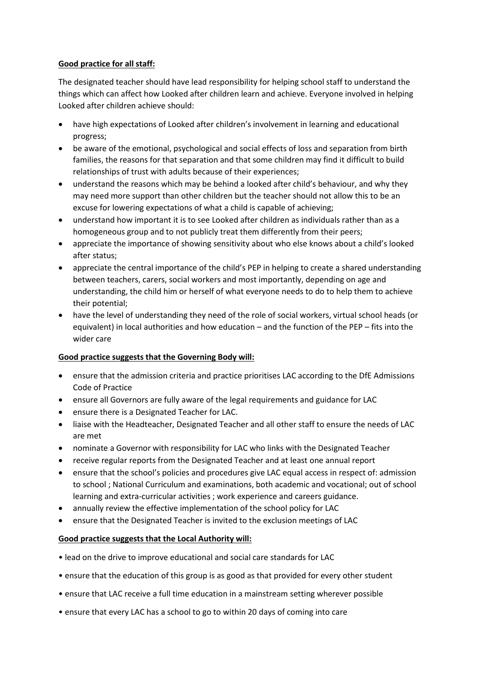# **Good practice for all staff:**

The designated teacher should have lead responsibility for helping school staff to understand the things which can affect how Looked after children learn and achieve. Everyone involved in helping Looked after children achieve should:

- have high expectations of Looked after children's involvement in learning and educational progress;
- be aware of the emotional, psychological and social effects of loss and separation from birth families, the reasons for that separation and that some children may find it difficult to build relationships of trust with adults because of their experiences;
- understand the reasons which may be behind a looked after child's behaviour, and why they may need more support than other children but the teacher should not allow this to be an excuse for lowering expectations of what a child is capable of achieving;
- understand how important it is to see Looked after children as individuals rather than as a homogeneous group and to not publicly treat them differently from their peers;
- appreciate the importance of showing sensitivity about who else knows about a child's looked after status;
- appreciate the central importance of the child's PEP in helping to create a shared understanding between teachers, carers, social workers and most importantly, depending on age and understanding, the child him or herself of what everyone needs to do to help them to achieve their potential;
- have the level of understanding they need of the role of social workers, virtual school heads (or equivalent) in local authorities and how education – and the function of the PEP – fits into the wider care

## **Good practice suggests that the Governing Body will:**

- ensure that the admission criteria and practice prioritises LAC according to the DfE Admissions Code of Practice
- ensure all Governors are fully aware of the legal requirements and guidance for LAC
- ensure there is a Designated Teacher for LAC.
- liaise with the Headteacher, Designated Teacher and all other staff to ensure the needs of LAC are met
- nominate a Governor with responsibility for LAC who links with the Designated Teacher
- receive regular reports from the Designated Teacher and at least one annual report
- ensure that the school's policies and procedures give LAC equal access in respect of: admission to school ; National Curriculum and examinations, both academic and vocational; out of school learning and extra-curricular activities ; work experience and careers guidance.
- annually review the effective implementation of the school policy for LAC
- ensure that the Designated Teacher is invited to the exclusion meetings of LAC

## **Good practice suggests that the Local Authority will:**

- lead on the drive to improve educational and social care standards for LAC
- ensure that the education of this group is as good as that provided for every other student
- ensure that LAC receive a full time education in a mainstream setting wherever possible
- ensure that every LAC has a school to go to within 20 days of coming into care